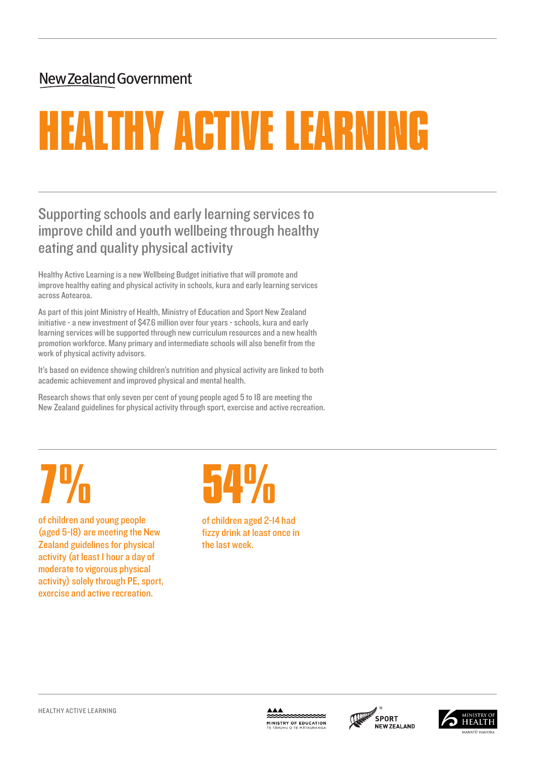## New Zealand Government

# HEALTHY ACTIVE LEARNING

## Supporting schools and early learning services to improve child and youth wellbeing through healthy eating and quality physical activity

Healthy Active Learning is a new Wellbeing Budget initiative that will promote and improve healthy eating and physical activity in schools, kura and early learning services across Aotearoa.

As part of this joint Ministry of Health, Ministry of Education and Sport New Zealand initiative - a new investment of \$47.6 million over four years - schools, kura and early learning services will be supported through new curriculum resources and a new health promotion workforce. Many primary and intermediate schools will also benefit from the work of physical activity advisors.

It's based on evidence showing children's nutrition and physical activity are linked to both academic achievement and improved physical and mental health.

Research shows that only seven per cent of young people aged 5 to 18 are meeting the New Zealand guidelines for physical activity through sport, exercise and active recreation.

THE STRING OF Children and young people

(aged 5-18) are meeting the New Zealand guidelines for physical activity (at least 1 hour a day of moderate to vigorous physical activity) solely through PE, sport, exercise and active recreation.

# **674 D<br>of children aged 2-14 had**

fizzy drink at least once in the last week.





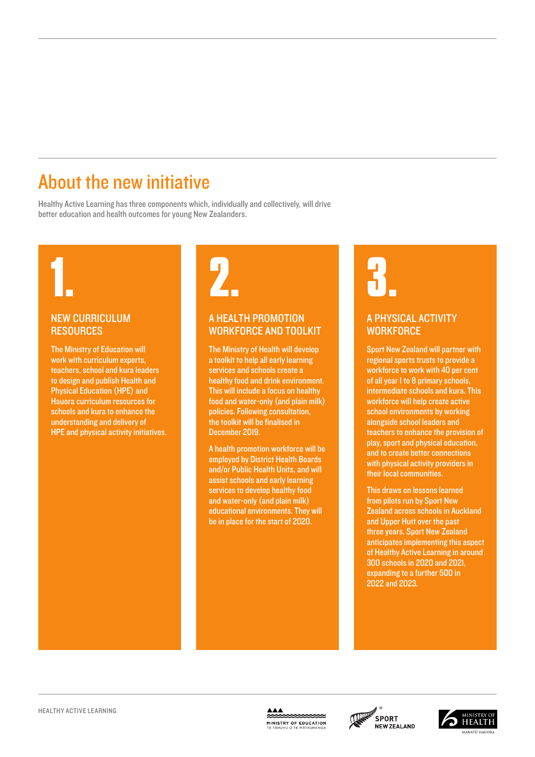# About the new initiative

Healthy Active Learning has three components which, individually and collectively, will drive better education and health outcomes for young New Zealanders.

#### NEW CURRICULUM **RESOURCES**

The Ministry of Education will work with curriculum experts, teachers, school and kura leaders to design and publish Health and Physical Education (HPE) and Hauora curriculum resources for schools and kura to enhance the understanding and delivery of HPE and physical activity initiatives.



### A HEALTH PROMOTION WORKFORCE AND TOOLKIT

The Ministry of Health will develop a toolkit to help all early learning services and schools create a healthy food and drink environment. This will include a focus on healthy food and water-only (and plain milk) policies. Following consultation, the toolkit will be finalised in December 2019.

A health promotion workforce will be employed by District Health Boards and/or Public Health Units, and will assist schools and early learning services to develop healthy food and water-only (and plain milk) educational environments. They will be in place for the start of 2020.

### A PHYSICAL ACTIVITY **WORKFORCF**

Sport New Zealand will partner with regional sports trusts to provide a workforce to work with 40 per cent of all year 1 to 8 primary schools, intermediate schools and kura. This workforce will help create active school environments by working alongside school leaders and teachers to enhance the provision of play, sport and physical education, and to create better connections with physical activity providers in their local communities.

This draws on lessons learned from pilots run by Sport New Zealand across schools in Auckland and Upper Hutt over the past three years. Sport New Zealand anticipates implementing this aspect of Healthy Active Learning in around 300 schools in 2020 and 2021, expanding to a further 500 in 2022 and 2023.



 $\begin{array}{c}\n\blacktriangle\blacktriangle\blacktriangle\blacktriangle\n\end{array}$ **MINISTRY OF EDUCATION**<br>TE TÂHUHU O TE MÂTAURANGA